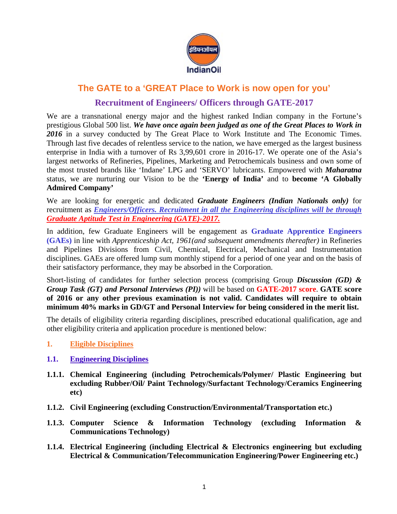

# **The GATE to a 'GREAT Place to Work is now open for you'**

# **Recruitment of Engineers/ Officers through GATE-2017**

We are a transnational energy major and the highest ranked Indian company in the Fortune's prestigious Global 500 list. *We have once again been judged as one of the Great Places to Work in 2016* in a survey conducted by The Great Place to Work Institute and The Economic Times. Through last five decades of relentless service to the nation, we have emerged as the largest business enterprise in India with a turnover of Rs 3,99,601 crore in 2016-17. We operate one of the Asia's largest networks of Refineries, Pipelines, Marketing and Petrochemicals business and own some of the most trusted brands like 'Indane' LPG and 'SERVO' lubricants. Empowered with *Maharatna* status, we are nurturing our Vision to be the **'Energy of India'** and to **become 'A Globally Admired Company'** 

We are looking for energetic and dedicated *Graduate Engineers (Indian Nationals only)* for recruitment as *Engineers/Officers. Recruitment in all the Engineering disciplines will be through Graduate Aptitude Test in Engineering (GATE)-2017.*

In addition, few Graduate Engineers will be engagement as **Graduate Apprentice Engineers (GAEs)** in line with *Apprenticeship Act, 1961(and subsequent amendments thereafter)* in Refineries and Pipelines Divisions from Civil, Chemical, Electrical, Mechanical and Instrumentation disciplines. GAEs are offered lump sum monthly stipend for a period of one year and on the basis of their satisfactory performance, they may be absorbed in the Corporation.

Short-listing of candidates for further selection process (comprising Group *Discussion (GD) & Group Task (GT) and Personal Interviews (PI))* will be based on **GATE-2017 score**. **GATE score of 2016 or any other previous examination is not valid. Candidates will require to obtain minimum 40% marks in GD/GT and Personal Interview for being considered in the merit list.**

The details of eligibility criteria regarding disciplines, prescribed educational qualification, age and other eligibility criteria and application procedure is mentioned below:

- **1. Eligible Disciplines**
- **1.1. Engineering Disciplines**
- **1.1.1. Chemical Engineering (including Petrochemicals/Polymer/ Plastic Engineering but excluding Rubber/Oil/ Paint Technology/Surfactant Technology/Ceramics Engineering etc)**
- **1.1.2. Civil Engineering (excluding Construction/Environmental/Transportation etc.)**
- **1.1.3. Computer Science & Information Technology (excluding Information & Communications Technology)**
- **1.1.4. Electrical Engineering (including Electrical & Electronics engineering but excluding Electrical & Communication/Telecommunication Engineering/Power Engineering etc.)**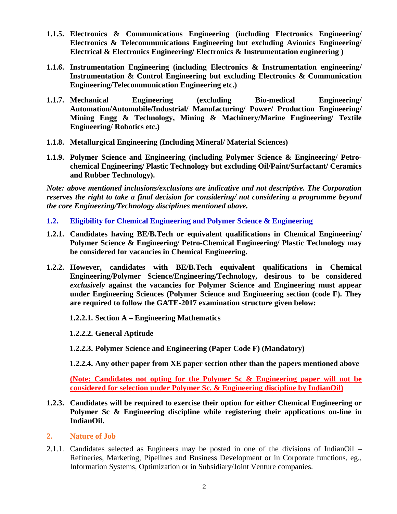- **1.1.5. Electronics & Communications Engineering (including Electronics Engineering/ Electronics & Telecommunications Engineering but excluding Avionics Engineering/ Electrical & Electronics Engineering/ Electronics & Instrumentation engineering )**
- **1.1.6. Instrumentation Engineering (including Electronics & Instrumentation engineering/ Instrumentation & Control Engineering but excluding Electronics & Communication Engineering/Telecommunication Engineering etc.)**
- **1.1.7. Mechanical Engineering (excluding Bio-medical Engineering/ Automation/Automobile/Industrial/ Manufacturing/ Power/ Production Engineering/ Mining Engg & Technology, Mining & Machinery/Marine Engineering/ Textile Engineering/ Robotics etc.)**
- **1.1.8. Metallurgical Engineering (Including Mineral/ Material Sciences)**
- **1.1.9. Polymer Science and Engineering (including Polymer Science & Engineering/ Petrochemical Engineering/ Plastic Technology but excluding Oil/Paint/Surfactant/ Ceramics and Rubber Technology).**

*Note: above mentioned inclusions/exclusions are indicative and not descriptive. The Corporation reserves the right to take a final decision for considering/ not considering a programme beyond the core Engineering/Technology disciplines mentioned above.* 

- **1.2. Eligibility for Chemical Engineering and Polymer Science & Engineering**
- **1.2.1. Candidates having BE/B.Tech or equivalent qualifications in Chemical Engineering/ Polymer Science & Engineering/ Petro-Chemical Engineering/ Plastic Technology may be considered for vacancies in Chemical Engineering.**
- **1.2.2. However, candidates with BE/B.Tech equivalent qualifications in Chemical Engineering/Polymer Science/Engineering/Technology, desirous to be considered**  *exclusively* **against the vacancies for Polymer Science and Engineering must appear under Engineering Sciences (Polymer Science and Engineering section (code F). They are required to follow the GATE-2017 examination structure given below:**

**1.2.2.1. Section A – Engineering Mathematics**

**1.2.2.2. General Aptitude**

**1.2.2.3. Polymer Science and Engineering (Paper Code F) (Mandatory)**

**1.2.2.4. Any other paper from XE paper section other than the papers mentioned above**

**(Note: Candidates not opting for the Polymer Sc & Engineering paper will not be considered for selection under Polymer Sc. & Engineering discipline by IndianOil)** 

#### **1.2.3. Candidates will be required to exercise their option for either Chemical Engineering or Polymer Sc & Engineering discipline while registering their applications on-line in IndianOil.**

#### **2. Nature of Job**

2.1.1. Candidates selected as Engineers may be posted in one of the divisions of IndianOil – Refineries, Marketing, Pipelines and Business Development or in Corporate functions, eg., Information Systems, Optimization or in Subsidiary/Joint Venture companies.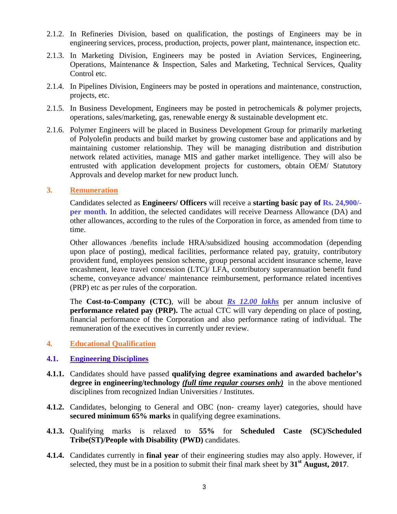- 2.1.2. In Refineries Division, based on qualification, the postings of Engineers may be in engineering services, process, production, projects, power plant, maintenance, inspection etc.
- 2.1.3. In Marketing Division, Engineers may be posted in Aviation Services, Engineering, Operations, Maintenance & Inspection, Sales and Marketing, Technical Services, Quality Control etc.
- 2.1.4. In Pipelines Division, Engineers may be posted in operations and maintenance, construction, projects, etc.
- 2.1.5. In Business Development, Engineers may be posted in petrochemicals & polymer projects, operations, sales/marketing, gas, renewable energy & sustainable development etc.
- 2.1.6. Polymer Engineers will be placed in Business Development Group for primarily marketing of Polyolefin products and build market by growing customer base and applications and by maintaining customer relationship. They will be managing distribution and distribution network related activities, manage MIS and gather market intelligence. They will also be entrusted with application development projects for customers, obtain OEM/ Statutory Approvals and develop market for new product lunch.

#### **3. Remuneration**

Candidates selected as **Engineers/ Officers** will receive a **starting basic pay of Rs. 24,900/ per month**. In addition, the selected candidates will receive Dearness Allowance (DA) and other allowances, according to the rules of the Corporation in force, as amended from time to time.

Other allowances /benefits include HRA/subsidized housing accommodation (depending upon place of posting), medical facilities, performance related pay, gratuity, contributory provident fund, employees pension scheme, group personal accident insurance scheme, leave encashment, leave travel concession (LTC)/ LFA, contributory superannuation benefit fund scheme, conveyance advance/ maintenance reimbursement, performance related incentives (PRP) etc as per rules of the corporation.

The **Cost-to-Company (CTC)**, will be about *Rs 12.00 lakhs* per annum inclusive of **performance related pay (PRP).** The actual CTC will vary depending on place of posting, financial performance of the Corporation and also performance rating of individual. The remuneration of the executives in currently under review.

#### **4. Educational Qualification**

#### **4.1. Engineering Disciplines**

- **4.1.1.** Candidates should have passed **qualifying degree examinations and awarded bachelor's degree in engineering/technology** *(full time regular courses only)* in the above mentioned disciplines from recognized Indian Universities / Institutes.
- **4.1.2.** Candidates, belonging to General and OBC (non- creamy layer) categories, should have **secured minimum 65% marks** in qualifying degree examinations.
- **4.1.3.** Qualifying marks is relaxed to **55%** for **Scheduled Caste (SC)/Scheduled Tribe(ST)/People with Disability (PWD)** candidates.
- **4.1.4.** Candidates currently in **final year** of their engineering studies may also apply. However, if selected, they must be in a position to submit their final mark sheet by **31st August, 2017**.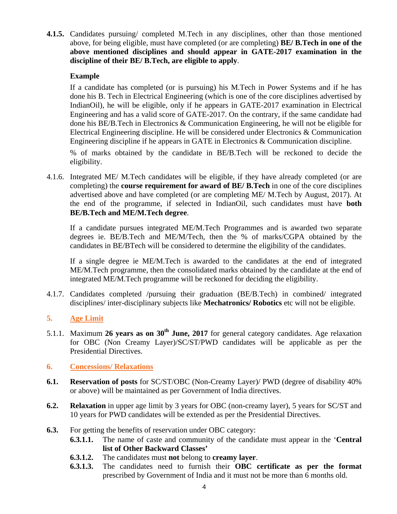**4.1.5.** Candidates pursuing/ completed M.Tech in any disciplines, other than those mentioned above, for being eligible, must have completed (or are completing) **BE/ B.Tech in one of the above mentioned disciplines and should appear in GATE-2017 examination in the discipline of their BE/ B.Tech, are eligible to apply**.

## **Example**

If a candidate has completed (or is pursuing) his M.Tech in Power Systems and if he has done his B. Tech in Electrical Engineering (which is one of the core disciplines advertised by IndianOil), he will be eligible, only if he appears in GATE-2017 examination in Electrical Engineering and has a valid score of GATE-2017. On the contrary, if the same candidate had done his BE/B.Tech in Electronics & Communication Engineering, he will not be eligible for Electrical Engineering discipline. He will be considered under Electronics & Communication Engineering discipline if he appears in GATE in Electronics & Communication discipline.

% of marks obtained by the candidate in BE/B.Tech will be reckoned to decide the eligibility.

4.1.6. Integrated ME/ M.Tech candidates will be eligible, if they have already completed (or are completing) the **course requirement for award of BE/ B.Tech** in one of the core disciplines advertised above and have completed (or are completing ME/ M.Tech by August, 2017). At the end of the programme, if selected in IndianOil, such candidates must have **both BE/B.Tech and ME/M.Tech degree**.

If a candidate pursues integrated ME/M.Tech Programmes and is awarded two separate degrees ie. BE/B.Tech and ME/M/Tech, then the % of marks/CGPA obtained by the candidates in BE/BTech will be considered to determine the eligibility of the candidates.

If a single degree ie ME/M.Tech is awarded to the candidates at the end of integrated ME/M.Tech programme, then the consolidated marks obtained by the candidate at the end of integrated ME/M.Tech programme will be reckoned for deciding the eligibility.

4.1.7. Candidates completed /pursuing their graduation (BE/B.Tech) in combined/ integrated disciplines/ inter-disciplinary subjects like **Mechatronics/ Robotics** etc will not be eligible.

## **5. Age Limit**

- 5.1.1. Maximum **26 years as on 30th June, 2017** for general category candidates. Age relaxation for OBC (Non Creamy Layer)/SC/ST/PWD candidates will be applicable as per the Presidential Directives.
- **6. Concessions/ Relaxations**
- **6.1. Reservation of posts** for SC/ST/OBC (Non-Creamy Layer)/ PWD (degree of disability 40% or above) will be maintained as per Government of India directives.
- **6.2. Relaxation** in upper age limit by 3 years for OBC (non-creamy layer), 5 years for SC/ST and 10 years for PWD candidates will be extended as per the Presidential Directives.
- **6.3.** For getting the benefits of reservation under OBC category:
	- **6.3.1.1.** The name of caste and community of the candidate must appear in the '**Central list of Other Backward Classes'**
	- **6.3.1.2.** The candidates must **not** belong to **creamy layer**.
	- **6.3.1.3.** The candidates need to furnish their **OBC certificate as per the format** prescribed by Government of India and it must not be more than 6 months old.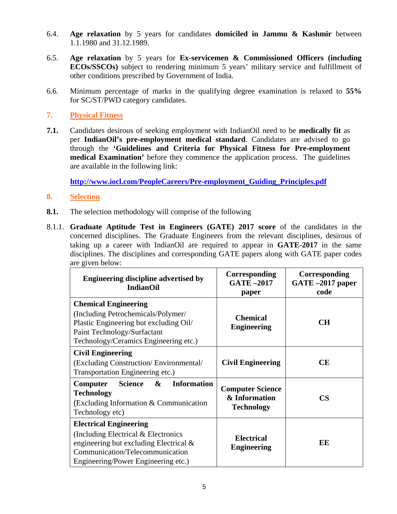- 6.4. **Age relaxation** by 5 years for candidates **domiciled in Jammu & Kashmir** between 1.1.1980 and 31.12.1989.
- 6.5. **Age relaxation** by 5 years for **Ex-servicemen & Commissioned Officers (including ECOs/SSCOs)** subject to rendering minimum 5 years' military service and fulfillment of other conditions prescribed by Government of India.
- 6.6. Minimum percentage of marks in the qualifying degree examination is relaxed to **55%** for SC/ST/PWD category candidates.
- **7. Physical Fitness**
- **7.1.** Candidates desirous of seeking employment with IndianOil need to be **medically fit** as per **IndianOil's pre-employment medical standard**. Candidates are advised to go through the **'Guidelines and Criteria for Physical Fitness for Pre-employment medical Examination'** before they commence the application process. The guidelines are available in the following link:

**[http://www.iocl.com/PeopleCareers/Pre-employment\\_Guiding\\_Principles.pdf](http://www.iocl.com/PeopleCareers/Pre-employment_Guiding_Principles.pdf)**

- **8. Selection**
- **8.1.** The selection methodology will comprise of the following
- 8.1.1. **Graduate Aptitude Test in Engineers (GATE) 2017 score** of the candidates in the concerned disciplines. The Graduate Engineers from the relevant disciplines, desirous of taking up a career with IndianOil are required to appear in **GATE-2017** in the same disciplines. The disciplines and corresponding GATE papers along with GATE paper codes are given below:

| <b>Engineering discipline advertised by</b><br><b>IndianOil</b>                                                                                                                             | Corresponding<br><b>GATE-2017</b><br>paper                    | Corresponding<br>GATE-2017 paper<br>code |
|---------------------------------------------------------------------------------------------------------------------------------------------------------------------------------------------|---------------------------------------------------------------|------------------------------------------|
| <b>Chemical Engineering</b><br>(Including Petrochemicals/Polymer/<br>Plastic Engineering but excluding Oil/<br>Paint Technology/Surfactant<br>Technology/Ceramics Engineering etc.)         | <b>Chemical</b><br><b>Engineering</b>                         | <b>CH</b>                                |
| <b>Civil Engineering</b><br>(Excluding Construction/Environmental/<br>Transportation Engineering etc.)                                                                                      | <b>Civil Engineering</b>                                      | CE                                       |
| $\boldsymbol{\&}$<br><b>Science</b><br><b>Information</b><br><b>Computer</b><br><b>Technology</b><br>(Excluding Information & Communication<br>Technology etc)                              | <b>Computer Science</b><br>& Information<br><b>Technology</b> | $\mathbf{CS}$                            |
| <b>Electrical Engineering</b><br>(Including Electrical & Electronics<br>engineering but excluding Electrical $\&$<br>Communication/Telecommunication<br>Engineering/Power Engineering etc.) | <b>Electrical</b><br><b>Engineering</b>                       | EE                                       |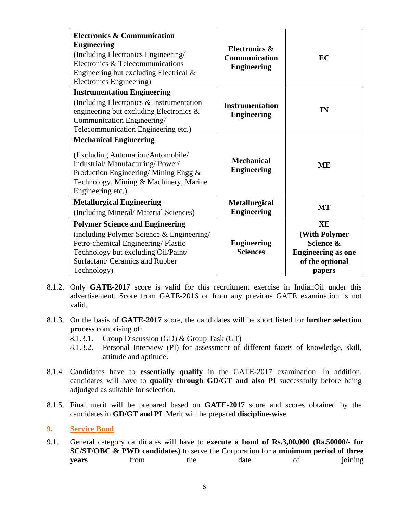| <b>Electronics &amp; Communication</b><br><b>Engineering</b><br>(Including Electronics Engineering/<br>Electronics & Telecommunications<br>Engineering but excluding Electrical &<br>Electronics Engineering)      | <b>Electronics &amp;</b><br><b>Communication</b><br><b>Engineering</b> | EC                                                                                                        |
|--------------------------------------------------------------------------------------------------------------------------------------------------------------------------------------------------------------------|------------------------------------------------------------------------|-----------------------------------------------------------------------------------------------------------|
| <b>Instrumentation Engineering</b><br>(Including Electronics & Instrumentation)<br>engineering but excluding Electronics &<br>Communication Engineering/<br>Telecommunication Engineering etc.)                    | <b>Instrumentation</b><br><b>Engineering</b>                           | IN                                                                                                        |
| <b>Mechanical Engineering</b><br>(Excluding Automation/Automobile/<br>Industrial/Manufacturing/Power/<br>Production Engineering/Mining Engg $\&$<br>Technology, Mining & Machinery, Marine<br>Engineering etc.)    | <b>Mechanical</b><br><b>Engineering</b>                                | <b>ME</b>                                                                                                 |
| <b>Metallurgical Engineering</b><br>(Including Mineral/Material Sciences)                                                                                                                                          | <b>Metallurgical</b><br><b>Engineering</b>                             | MT                                                                                                        |
| <b>Polymer Science and Engineering</b><br>(including Polymer Science & Engineering/<br>Petro-chemical Engineering/Plastic<br>Technology but excluding Oil/Paint/<br>Surfactant/ Ceramics and Rubber<br>Technology) | <b>Engineering</b><br><b>Sciences</b>                                  | <b>XE</b><br><b>(With Polymer)</b><br>Science &<br><b>Engineering as one</b><br>of the optional<br>papers |

- 8.1.2. Only **GATE-2017** score is valid for this recruitment exercise in IndianOil under this advertisement. Score from GATE-2016 or from any previous GATE examination is not valid.
- 8.1.3. On the basis of **GATE-2017** score, the candidates will be short listed for **further selection process** comprising of:
	- 8.1.3.1. Group Discussion (GD) & Group Task (GT)
	- 8.1.3.2. Personal Interview (PI) for assessment of different facets of knowledge, skill, attitude and aptitude.
- 8.1.4. Candidates have to **essentially qualify** in the GATE-2017 examination. In addition, candidates will have to **qualify through GD/GT and also PI** successfully before being adjudged as suitable for selection.
- 8.1.5. Final merit will be prepared based on **GATE-2017** score and scores obtained by the candidates in **GD/GT and PI**. Merit will be prepared **discipline-wise**.
- **9. Service Bond**
- 9.1. General category candidates will have to **execute a bond of Rs.3,00,000 (Rs.50000/- for SC/ST/OBC & PWD candidates)** to serve the Corporation for a **minimum period of three years** from the date of joining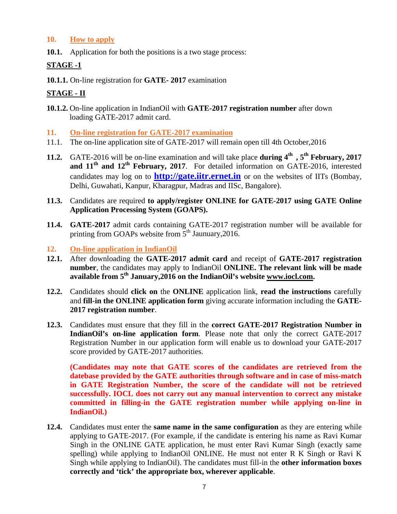#### **10. How to apply**

**10.1.** Application for both the positions is a two stage process:

## **STAGE -1**

**10.1.1.** On-line registration for **GATE- 2017** examination

## **STAGE - II**

- **10.1.2.** On-line application in IndianOil with **GATE-2017 registration number** after down loading GATE-2017 admit card.
- **11. On-line registration for GATE-2017 examination**
- 11.1. The on-line application site of GATE-2017 will remain open till 4th October,2016
- **11.2.** GATE-2016 will be on-line examination and will take place **during 4<sup>th</sup>**, 5<sup>th</sup> **February, 2017** and 11<sup>th</sup> and 12<sup>th</sup> February, 2017. For detailed information on GATE-2016, interested candidates may log on to **[http://gate.iitr.ernet.in](http://gate.iitr.ernet.in/)** or on the websites of IITs (Bombay, Delhi, Guwahati, Kanpur, Kharagpur, Madras and IISc, Bangalore).
- **11.3.** Candidates are required **to apply/register ONLINE for GATE-2017 using GATE Online Application Processing System (GOAPS).**
- **11.4. GATE-2017** admit cards containing GATE-2017 registration number will be available for printing from GOAPs website from  $5<sup>th</sup>$  Jaunuary, 2016.
- **12. On-line application in IndianOil**
- **12.1.** After downloading the **GATE-2017 admit card** and receipt of **GATE-2017 registration number**, the candidates may apply to IndianOil **ONLINE. The relevant link will be made available from 5th January,2016 on the IndianOil's website [www.iocl.com.](http://www.iocl.com/)**
- **12.2.** Candidates should **click on** the **ONLINE** application link, **read the instructions** carefully and **fill-in the ONLINE application form** giving accurate information including the **GATE-2017 registration number**.
- **12.3.** Candidates must ensure that they fill in the **correct GATE-2017 Registration Number in IndianOil's on-line application form**. Please note that only the correct GATE-2017 Registration Number in our application form will enable us to download your GATE-2017 score provided by GATE-2017 authorities.

**(Candidates may note that GATE scores of the candidates are retrieved from the datebase provided by the GATE authorities through software and in case of miss-match in GATE Registration Number, the score of the candidate will not be retrieved successfully. IOCL does not carry out any manual intervention to correct any mistake committed in filling-in the GATE registration number while applying on-line in IndianOil.)**

**12.4.** Candidates must enter the **same name in the same configuration** as they are entering while applying to GATE-2017. (For example, if the candidate is entering his name as Ravi Kumar Singh in the ONLINE GATE application, he must enter Ravi Kumar Singh (exactly same spelling) while applying to IndianOil ONLINE. He must not enter R K Singh or Ravi K Singh while applying to IndianOil). The candidates must fill-in the **other information boxes correctly and 'tick' the appropriate box, wherever applicable**.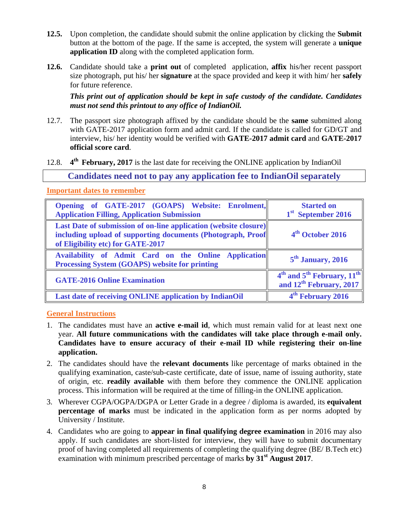- **12.5.** Upon completion, the candidate should submit the online application by clicking the **Submit** button at the bottom of the page. If the same is accepted, the system will generate a **unique application ID** along with the completed application form.
- **12.6.** Candidate should take a **print out** of completed application, **affix** his/her recent passport size photograph, put his/ her **signature** at the space provided and keep it with him/ her **safely** for future reference.

*This print out of application should be kept in safe custody of the candidate. Candidates must not send this printout to any office of IndianOil.* 

- 12.7. The passport size photograph affixed by the candidate should be the **same** submitted along with GATE-2017 application form and admit card. If the candidate is called for GD/GT and interview, his/ her identity would be verified with **GATE-2017 admit card** and **GATE-2017 official score card**.
- 12.8. **4th February, 2017** is the last date for receiving the ONLINE application by IndianOil

# **Candidates need not to pay any application fee to IndianOil separately**

**Important dates to remember** 

| Opening of GATE-2017 (GOAPS) Website: Enrolment,<br><b>Application Filling, Application Submission</b>                                                               | <b>Started on</b><br>1 <sup>st</sup> September 2016                                                   |
|----------------------------------------------------------------------------------------------------------------------------------------------------------------------|-------------------------------------------------------------------------------------------------------|
| Last Date of submission of on-line application (website closure)<br>including upload of supporting documents (Photograph, Proof<br>of Eligibility etc) for GATE-2017 | $4th$ October 2016                                                                                    |
| Availability of Admit Card on the Online Application<br><b>Processing System (GOAPS) website for printing</b>                                                        | 5 <sup>th</sup> January, 2016                                                                         |
| <b>GATE-2016 Online Examination</b>                                                                                                                                  | 4 <sup>th</sup> and 5 <sup>th</sup> February, 11 <sup>th</sup><br>and 12 <sup>th</sup> February, 2017 |
| Last date of receiving ONLINE application by IndianOil                                                                                                               | 4 <sup>th</sup> February 2016                                                                         |

#### **General Instructions**

- 1. The candidates must have an **active e-mail id**, which must remain valid for at least next one year. **All future communications with the candidates will take place through e-mail only. Candidates have to ensure accuracy of their e-mail ID while registering their on-line application.**
- 2. The candidates should have the **relevant documents** like percentage of marks obtained in the qualifying examination, caste/sub-caste certificate, date of issue, name of issuing authority, state of origin, etc. **readily available** with them before they commence the ONLINE application process. This information will be required at the time of filling-in the ONLINE application.
- 3. Wherever CGPA/OGPA/DGPA or Letter Grade in a degree / diploma is awarded, its **equivalent percentage of marks** must be indicated in the application form as per norms adopted by University / Institute.
- 4. Candidates who are going to **appear in final qualifying degree examination** in 2016 may also apply. If such candidates are short-listed for interview, they will have to submit documentary proof of having completed all requirements of completing the qualifying degree (BE/ B.Tech etc) examination with minimum prescribed percentage of marks **by 31st August 2017**.